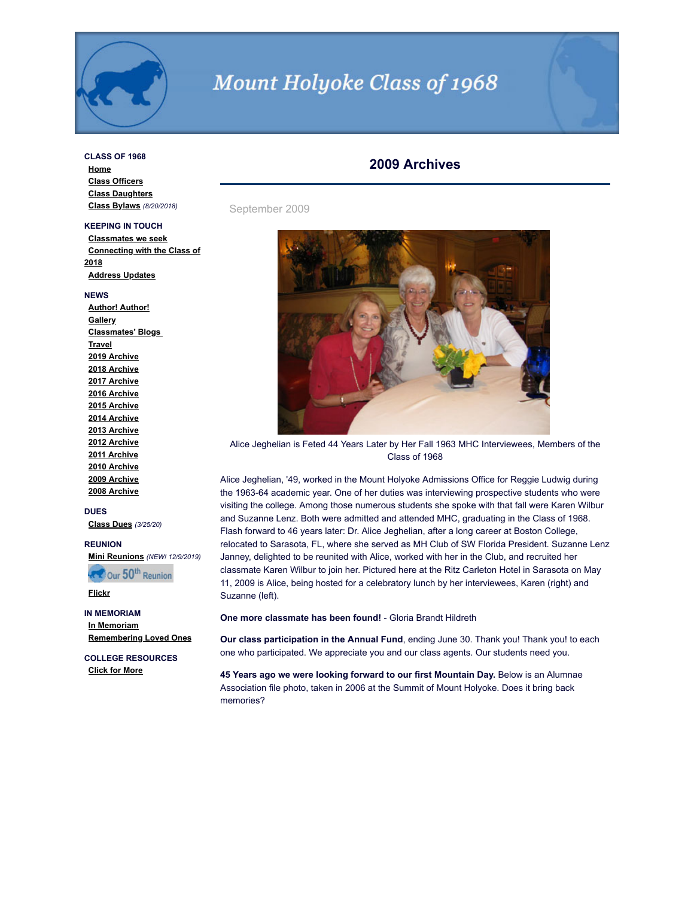

# Mount Holyoke Class of 1968

## **CLASS OF 1968**

**[Home](http://www.mhc1968.com/index.asp) [Class Officers](http://www.mhc1968.com/officers.asp) [Class Daughters](http://www.mhc1968.com/daughters.asp) [Class Bylaws](http://www.mhc1968.com/Bylaws.asp)** *(8/20/2018)*

# **KEEPING IN TOUCH**

**[Classmates we seek](http://www.mhc1968.com/lostclassmates.asp) [Connecting with the Class of](http://www.mhc1968.com/sisters.asp) 2018 [Address Updates](http://www.mhc1968.com/updates.asp)**

#### **NEWS**

**[Author! Author!](http://www.mhc1968.com/author.asp) [Gallery](http://www.mhc1968.com/gallery/gallery.asp) [Classmates' Blogs](http://www.mhc1968.com/blog.asp)  [Travel](http://www.mhc1968.com/travel.asp) [2019 Archive](http://www.mhc1968.com/archive2019.asp) [2018 Archive](http://www.mhc1968.com/archive2018.asp) [2017 Archive](http://www.mhc1968.com/archive2017.asp) [2016 Archive](http://www.mhc1968.com/archive2016.asp) [2015 Archive](http://www.mhc1968.com/archive2015.asp) [2014 Archive](http://www.mhc1968.com/archive2014.asp) [2013 Archive](http://www.mhc1968.com/archive2013.asp) [2012 Archive](http://www.mhc1968.com/archive2012.asp) [2011 Archive](http://www.mhc1968.com/archive2011.asp) [2010 Archive](http://www.mhc1968.com/archive2010.asp) [2009 Archive](http://www.mhc1968.com/archive2009.asp) [2008 Archive](http://www.mhc1968.com/archive2008.asp)**

#### **DUES**

**[Class Dues](http://www.mhc1968.com/dues.asp)** *(3/25/20)*

# **REUNION**

**[Mini Reunions](http://www.mhc1968.com/MiniReunions.asp)** *(NEW! 12/9/2019)*

Cour 50<sup>th</sup> Reunion

# **[Flickr](https://www.flickr.com/photos/162666628@N03/)**

**IN MEMORIAM [In Memoriam](http://www.mhc1968.com/memoriam.asp) [Remembering Loved Ones](http://www.mhc1968.com/remember.asp)**

**COLLEGE RESOURCES [Click for More](http://www.mhc1968.com/resources.asp)**

# **2009 Archives**

September 2009



Alice Jeghelian is Feted 44 Years Later by Her Fall 1963 MHC Interviewees, Members of the Class of 1968

Alice Jeghelian, '49, worked in the Mount Holyoke Admissions Office for Reggie Ludwig during the 1963-64 academic year. One of her duties was interviewing prospective students who were visiting the college. Among those numerous students she spoke with that fall were Karen Wilbur and Suzanne Lenz. Both were admitted and attended MHC, graduating in the Class of 1968. Flash forward to 46 years later: Dr. Alice Jeghelian, after a long career at Boston College, relocated to Sarasota, FL, where she served as MH Club of SW Florida President. Suzanne Lenz Janney, delighted to be reunited with Alice, worked with her in the Club, and recruited her classmate Karen Wilbur to join her. Pictured here at the Ritz Carleton Hotel in Sarasota on May 11, 2009 is Alice, being hosted for a celebratory lunch by her interviewees, Karen (right) and Suzanne (left).

**One more classmate has been found!** - Gloria Brandt Hildreth

**Our class participation in the Annual Fund**, ending June 30. Thank you! Thank you! to each one who participated. We appreciate you and our class agents. Our students need you.

**45 Years ago we were looking forward to our first Mountain Day.** Below is an Alumnae Association file photo, taken in 2006 at the Summit of Mount Holyoke. Does it bring back memories?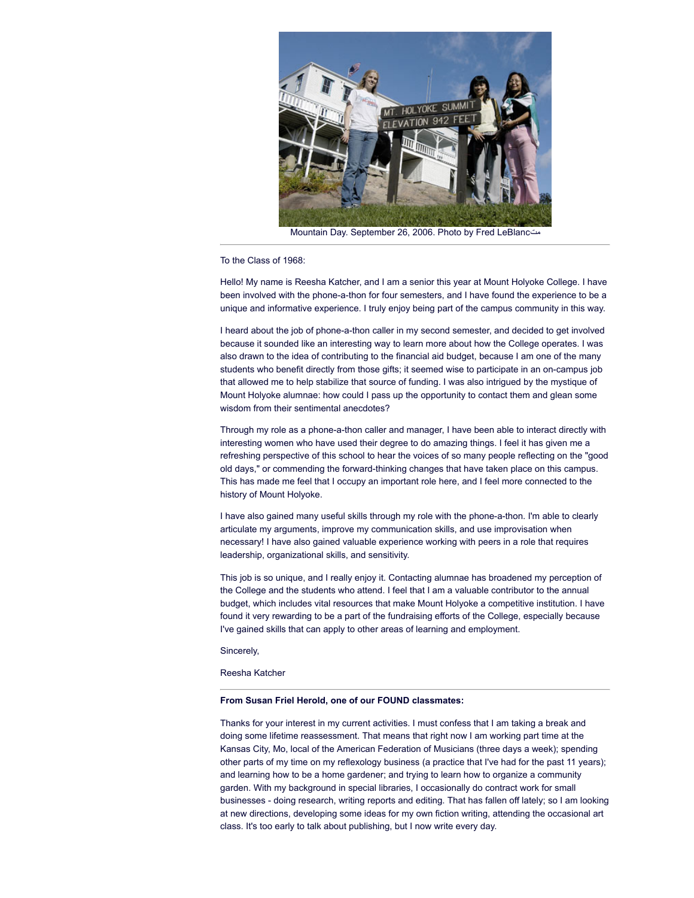

Mountain Day. September 26, 2006. Photo by Fred LeBlancمت

To the Class of 1968:

Hello! My name is Reesha Katcher, and I am a senior this year at Mount Holyoke College. I have been involved with the phone-a-thon for four semesters, and I have found the experience to be a unique and informative experience. I truly enjoy being part of the campus community in this way.

I heard about the job of phone-a-thon caller in my second semester, and decided to get involved because it sounded like an interesting way to learn more about how the College operates. I was also drawn to the idea of contributing to the financial aid budget, because I am one of the many students who benefit directly from those gifts; it seemed wise to participate in an on-campus job that allowed me to help stabilize that source of funding. I was also intrigued by the mystique of Mount Holyoke alumnae: how could I pass up the opportunity to contact them and glean some wisdom from their sentimental anecdotes?

Through my role as a phone-a-thon caller and manager, I have been able to interact directly with interesting women who have used their degree to do amazing things. I feel it has given me a refreshing perspective of this school to hear the voices of so many people reflecting on the "good old days," or commending the forward-thinking changes that have taken place on this campus. This has made me feel that I occupy an important role here, and I feel more connected to the history of Mount Holyoke.

I have also gained many useful skills through my role with the phone-a-thon. I'm able to clearly articulate my arguments, improve my communication skills, and use improvisation when necessary! I have also gained valuable experience working with peers in a role that requires leadership, organizational skills, and sensitivity.

This job is so unique, and I really enjoy it. Contacting alumnae has broadened my perception of the College and the students who attend. I feel that I am a valuable contributor to the annual budget, which includes vital resources that make Mount Holyoke a competitive institution. I have found it very rewarding to be a part of the fundraising efforts of the College, especially because I've gained skills that can apply to other areas of learning and employment.

Sincerely,

Reesha Katcher

#### **From Susan Friel Herold, one of our FOUND classmates:**

Thanks for your interest in my current activities. I must confess that I am taking a break and doing some lifetime reassessment. That means that right now I am working part time at the Kansas City, Mo, local of the American Federation of Musicians (three days a week); spending other parts of my time on my reflexology business (a practice that I've had for the past 11 years); and learning how to be a home gardener; and trying to learn how to organize a community garden. With my background in special libraries, I occasionally do contract work for small businesses - doing research, writing reports and editing. That has fallen off lately; so I am looking at new directions, developing some ideas for my own fiction writing, attending the occasional art class. It's too early to talk about publishing, but I now write every day.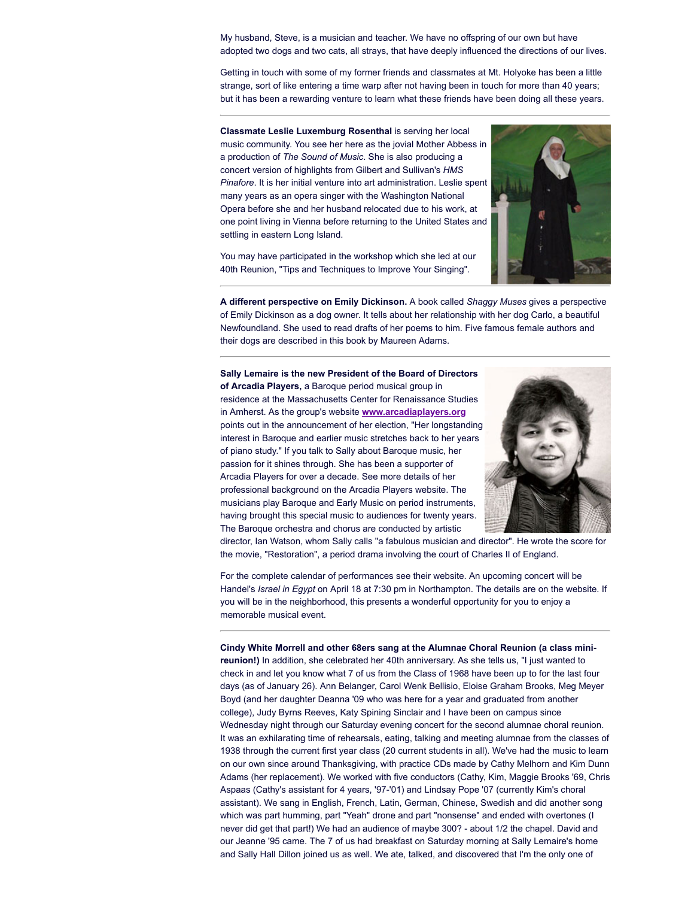My husband, Steve, is a musician and teacher. We have no offspring of our own but have adopted two dogs and two cats, all strays, that have deeply influenced the directions of our lives.

Getting in touch with some of my former friends and classmates at Mt. Holyoke has been a little strange, sort of like entering a time warp after not having been in touch for more than 40 years; but it has been a rewarding venture to learn what these friends have been doing all these years.

**Classmate Leslie Luxemburg Rosenthal** is serving her local music community. You see her here as the jovial Mother Abbess in a production of *The Sound of Music*. She is also producing a concert version of highlights from Gilbert and Sullivan's *HMS Pinafore*. It is her initial venture into art administration. Leslie spent many years as an opera singer with the Washington National Opera before she and her husband relocated due to his work, at one point living in Vienna before returning to the United States and settling in eastern Long Island.



You may have participated in the workshop which she led at our 40th Reunion, "Tips and Techniques to Improve Your Singing".

**A different perspective on Emily Dickinson.** A book called *Shaggy Muses* gives a perspective of Emily Dickinson as a dog owner. It tells about her relationship with her dog Carlo, a beautiful Newfoundland. She used to read drafts of her poems to him. Five famous female authors and their dogs are described in this book by Maureen Adams.

**Sally Lemaire is the new President of the Board of Directors of Arcadia Players,** a Baroque period musical group in residence at the Massachusetts Center for Renaissance Studies in Amherst. As the group's website **[www.arcadiaplayers.org](http://%20www.arcadiaplayers.org/)** points out in the announcement of her election, "Her longstanding interest in Baroque and earlier music stretches back to her years of piano study." If you talk to Sally about Baroque music, her passion for it shines through. She has been a supporter of Arcadia Players for over a decade. See more details of her professional background on the Arcadia Players website. The musicians play Baroque and Early Music on period instruments, having brought this special music to audiences for twenty years. The Baroque orchestra and chorus are conducted by artistic



director, Ian Watson, whom Sally calls "a fabulous musician and director". He wrote the score for the movie, "Restoration", a period drama involving the court of Charles II of England.

For the complete calendar of performances see their website. An upcoming concert will be Handel's *Israel in Egypt* on April 18 at 7:30 pm in Northampton. The details are on the website. If you will be in the neighborhood, this presents a wonderful opportunity for you to enjoy a memorable musical event.

**Cindy White Morrell and other 68ers sang at the Alumnae Choral Reunion (a class minireunion!)** In addition, she celebrated her 40th anniversary. As she tells us, "I just wanted to check in and let you know what 7 of us from the Class of 1968 have been up to for the last four days (as of January 26). Ann Belanger, Carol Wenk Bellisio, Eloise Graham Brooks, Meg Meyer Boyd (and her daughter Deanna '09 who was here for a year and graduated from another college), Judy Byrns Reeves, Katy Spining Sinclair and I have been on campus since Wednesday night through our Saturday evening concert for the second alumnae choral reunion. It was an exhilarating time of rehearsals, eating, talking and meeting alumnae from the classes of 1938 through the current first year class (20 current students in all). We've had the music to learn on our own since around Thanksgiving, with practice CDs made by Cathy Melhorn and Kim Dunn Adams (her replacement). We worked with five conductors (Cathy, Kim, Maggie Brooks '69, Chris Aspaas (Cathy's assistant for 4 years, '97-'01) and Lindsay Pope '07 (currently Kim's choral assistant). We sang in English, French, Latin, German, Chinese, Swedish and did another song which was part humming, part "Yeah" drone and part "nonsense" and ended with overtones (I never did get that part!) We had an audience of maybe 300? - about 1/2 the chapel. David and our Jeanne '95 came. The 7 of us had breakfast on Saturday morning at Sally Lemaire's home and Sally Hall Dillon joined us as well. We ate, talked, and discovered that I'm the only one of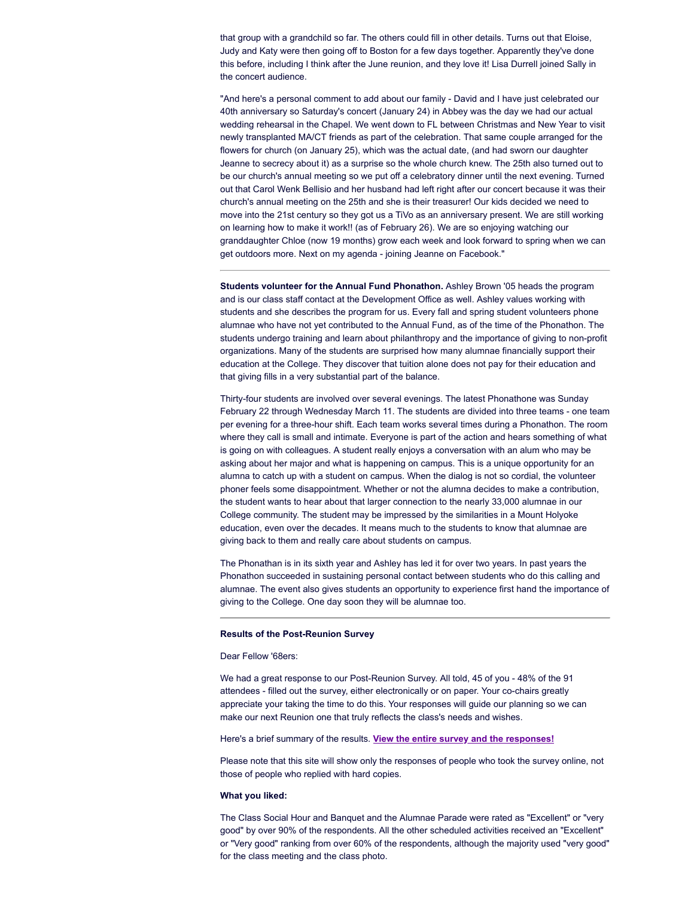that group with a grandchild so far. The others could fill in other details. Turns out that Eloise, Judy and Katy were then going off to Boston for a few days together. Apparently they've done this before, including I think after the June reunion, and they love it! Lisa Durrell joined Sally in the concert audience.

"And here's a personal comment to add about our family - David and I have just celebrated our 40th anniversary so Saturday's concert (January 24) in Abbey was the day we had our actual wedding rehearsal in the Chapel. We went down to FL between Christmas and New Year to visit newly transplanted MA/CT friends as part of the celebration. That same couple arranged for the flowers for church (on January 25), which was the actual date, (and had sworn our daughter Jeanne to secrecy about it) as a surprise so the whole church knew. The 25th also turned out to be our church's annual meeting so we put off a celebratory dinner until the next evening. Turned out that Carol Wenk Bellisio and her husband had left right after our concert because it was their church's annual meeting on the 25th and she is their treasurer! Our kids decided we need to move into the 21st century so they got us a TiVo as an anniversary present. We are still working on learning how to make it work!! (as of February 26). We are so enjoying watching our granddaughter Chloe (now 19 months) grow each week and look forward to spring when we can get outdoors more. Next on my agenda - joining Jeanne on Facebook."

**Students volunteer for the Annual Fund Phonathon.** Ashley Brown '05 heads the program and is our class staff contact at the Development Office as well. Ashley values working with students and she describes the program for us. Every fall and spring student volunteers phone alumnae who have not yet contributed to the Annual Fund, as of the time of the Phonathon. The students undergo training and learn about philanthropy and the importance of giving to non-profit organizations. Many of the students are surprised how many alumnae financially support their education at the College. They discover that tuition alone does not pay for their education and that giving fills in a very substantial part of the balance.

Thirty-four students are involved over several evenings. The latest Phonathone was Sunday February 22 through Wednesday March 11. The students are divided into three teams - one team per evening for a three-hour shift. Each team works several times during a Phonathon. The room where they call is small and intimate. Everyone is part of the action and hears something of what is going on with colleagues. A student really enjoys a conversation with an alum who may be asking about her major and what is happening on campus. This is a unique opportunity for an alumna to catch up with a student on campus. When the dialog is not so cordial, the volunteer phoner feels some disappointment. Whether or not the alumna decides to make a contribution, the student wants to hear about that larger connection to the nearly 33,000 alumnae in our College community. The student may be impressed by the similarities in a Mount Holyoke education, even over the decades. It means much to the students to know that alumnae are giving back to them and really care about students on campus.

The Phonathan is in its sixth year and Ashley has led it for over two years. In past years the Phonathon succeeded in sustaining personal contact between students who do this calling and alumnae. The event also gives students an opportunity to experience first hand the importance of giving to the College. One day soon they will be alumnae too.

## **Results of the Post-Reunion Survey**

# Dear Fellow '68ers:

We had a great response to our Post-Reunion Survey. All told, 45 of you - 48% of the 91 attendees - filled out the survey, either electronically or on paper. Your co-chairs greatly appreciate your taking the time to do this. Your responses will guide our planning so we can make our next Reunion one that truly reflects the class's needs and wishes.

# Here's a brief summary of the results. **View the entire survey and the [responses!](http://www.surveymonkey.com/sr.aspx?sm=wMZdMvsaiIL5vT3sVnyaqkSjEmzr8eteW1LOfvglRc0_3d)**

Please note that this site will show only the responses of people who took the survey online, not those of people who replied with hard copies.

#### **What you liked:**

The Class Social Hour and Banquet and the Alumnae Parade were rated as "Excellent" or "very good" by over 90% of the respondents. All the other scheduled activities received an "Excellent" or "Very good" ranking from over 60% of the respondents, although the majority used "very good" for the class meeting and the class photo.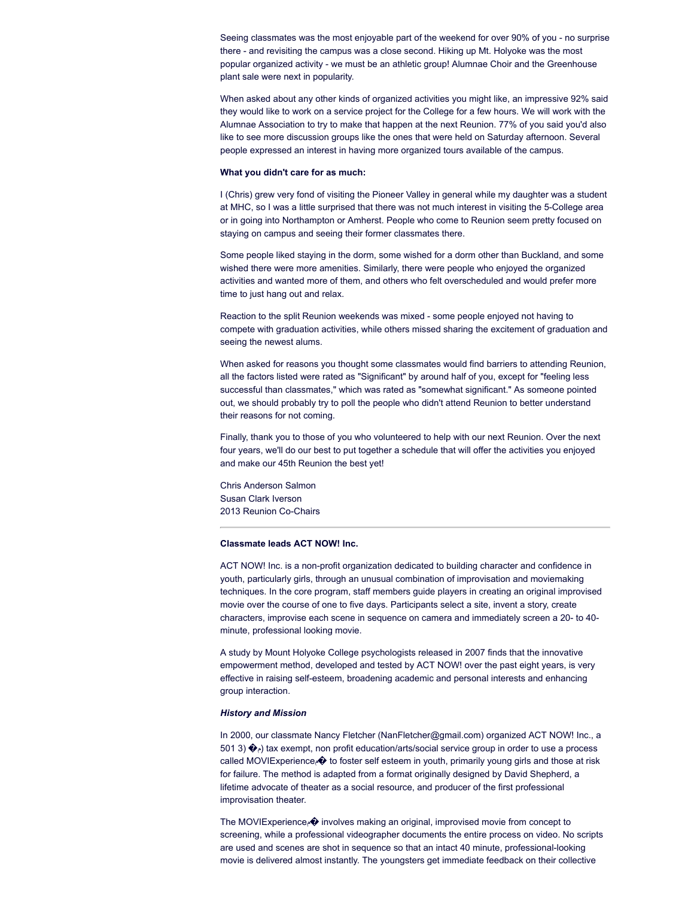Seeing classmates was the most enjoyable part of the weekend for over 90% of you - no surprise there - and revisiting the campus was a close second. Hiking up Mt. Holyoke was the most popular organized activity - we must be an athletic group! Alumnae Choir and the Greenhouse plant sale were next in popularity.

When asked about any other kinds of organized activities you might like, an impressive 92% said they would like to work on a service project for the College for a few hours. We will work with the Alumnae Association to try to make that happen at the next Reunion. 77% of you said you'd also like to see more discussion groups like the ones that were held on Saturday afternoon. Several people expressed an interest in having more organized tours available of the campus.

#### **What you didn't care for as much:**

I (Chris) grew very fond of visiting the Pioneer Valley in general while my daughter was a student at MHC, so I was a little surprised that there was not much interest in visiting the 5-College area or in going into Northampton or Amherst. People who come to Reunion seem pretty focused on staying on campus and seeing their former classmates there.

Some people liked staying in the dorm, some wished for a dorm other than Buckland, and some wished there were more amenities. Similarly, there were people who enjoyed the organized activities and wanted more of them, and others who felt overscheduled and would prefer more time to just hang out and relax.

Reaction to the split Reunion weekends was mixed - some people enjoyed not having to compete with graduation activities, while others missed sharing the excitement of graduation and seeing the newest alums.

When asked for reasons you thought some classmates would find barriers to attending Reunion, all the factors listed were rated as "Significant" by around half of you, except for "feeling less successful than classmates," which was rated as "somewhat significant." As someone pointed out, we should probably try to poll the people who didn't attend Reunion to better understand their reasons for not coming.

Finally, thank you to those of you who volunteered to help with our next Reunion. Over the next four years, we'll do our best to put together a schedule that will offer the activities you enjoyed and make our 45th Reunion the best yet!

Chris Anderson Salmon Susan Clark Iverson 2013 Reunion Co-Chairs

# **Classmate leads ACT NOW! Inc.**

ACT NOW! Inc. is a non-profit organization dedicated to building character and confidence in youth, particularly girls, through an unusual combination of improvisation and moviemaking techniques. In the core program, staff members guide players in creating an original improvised movie over the course of one to five days. Participants select a site, invent a story, create characters, improvise each scene in sequence on camera and immediately screen a 20- to 40 minute, professional looking movie.

A study by Mount Holyoke College psychologists released in 2007 finds that the innovative empowerment method, developed and tested by ACT NOW! over the past eight years, is very effective in raising self-esteem, broadening academic and personal interests and enhancing group interaction.

#### *History and Mission*

In 2000, our classmate Nancy Fletcher (NanFletcher@gmail.com) organized ACT NOW! Inc., a 501 3)  $\langle \rangle$  (tax exempt, non profit education/arts/social service group in order to use a process called MOVIExperience<sub>c</sub> $\odot$  to foster self esteem in youth, primarily young girls and those at risk for failure. The method is adapted from a format originally designed by David Shepherd, a lifetime advocate of theater as a social resource, and producer of the first professional improvisation theater.

The MOVIExperience  $\hat{\bullet}$  involves making an original, improvised movie from concept to screening, while a professional videographer documents the entire process on video. No scripts are used and scenes are shot in sequence so that an intact 40 minute, professional-looking movie is delivered almost instantly. The youngsters get immediate feedback on their collective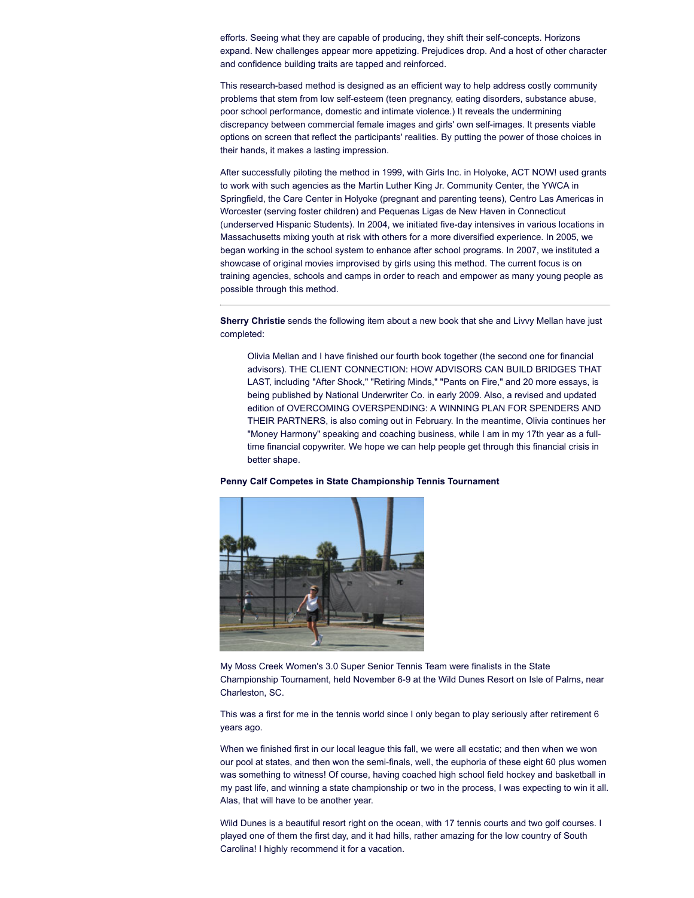efforts. Seeing what they are capable of producing, they shift their self-concepts. Horizons expand. New challenges appear more appetizing. Prejudices drop. And a host of other character and confidence building traits are tapped and reinforced.

This research-based method is designed as an efficient way to help address costly community problems that stem from low self-esteem (teen pregnancy, eating disorders, substance abuse, poor school performance, domestic and intimate violence.) It reveals the undermining discrepancy between commercial female images and girls' own self-images. It presents viable options on screen that reflect the participants' realities. By putting the power of those choices in their hands, it makes a lasting impression.

After successfully piloting the method in 1999, with Girls Inc. in Holyoke, ACT NOW! used grants to work with such agencies as the Martin Luther King Jr. Community Center, the YWCA in Springfield, the Care Center in Holyoke (pregnant and parenting teens), Centro Las Americas in Worcester (serving foster children) and Pequenas Ligas de New Haven in Connecticut (underserved Hispanic Students). In 2004, we initiated five-day intensives in various locations in Massachusetts mixing youth at risk with others for a more diversified experience. In 2005, we began working in the school system to enhance after school programs. In 2007, we instituted a showcase of original movies improvised by girls using this method. The current focus is on training agencies, schools and camps in order to reach and empower as many young people as possible through this method.

**Sherry Christie** sends the following item about a new book that she and Livvy Mellan have just completed:

Olivia Mellan and I have finished our fourth book together (the second one for financial advisors). THE CLIENT CONNECTION: HOW ADVISORS CAN BUILD BRIDGES THAT LAST, including "After Shock," "Retiring Minds," "Pants on Fire," and 20 more essays, is being published by National Underwriter Co. in early 2009. Also, a revised and updated edition of OVERCOMING OVERSPENDING: A WINNING PLAN FOR SPENDERS AND THEIR PARTNERS, is also coming out in February. In the meantime, Olivia continues her "Money Harmony" speaking and coaching business, while I am in my 17th year as a fulltime financial copywriter. We hope we can help people get through this financial crisis in better shape.

#### **Penny Calf Competes in State Championship Tennis Tournament**



My Moss Creek Women's 3.0 Super Senior Tennis Team were finalists in the State Championship Tournament, held November 6-9 at the Wild Dunes Resort on Isle of Palms, near Charleston, SC.

This was a first for me in the tennis world since I only began to play seriously after retirement 6 years ago.

When we finished first in our local league this fall, we were all ecstatic; and then when we won our pool at states, and then won the semi-finals, well, the euphoria of these eight 60 plus women was something to witness! Of course, having coached high school field hockey and basketball in my past life, and winning a state championship or two in the process, I was expecting to win it all. Alas, that will have to be another year.

Wild Dunes is a beautiful resort right on the ocean, with 17 tennis courts and two golf courses. I played one of them the first day, and it had hills, rather amazing for the low country of South Carolina! I highly recommend it for a vacation.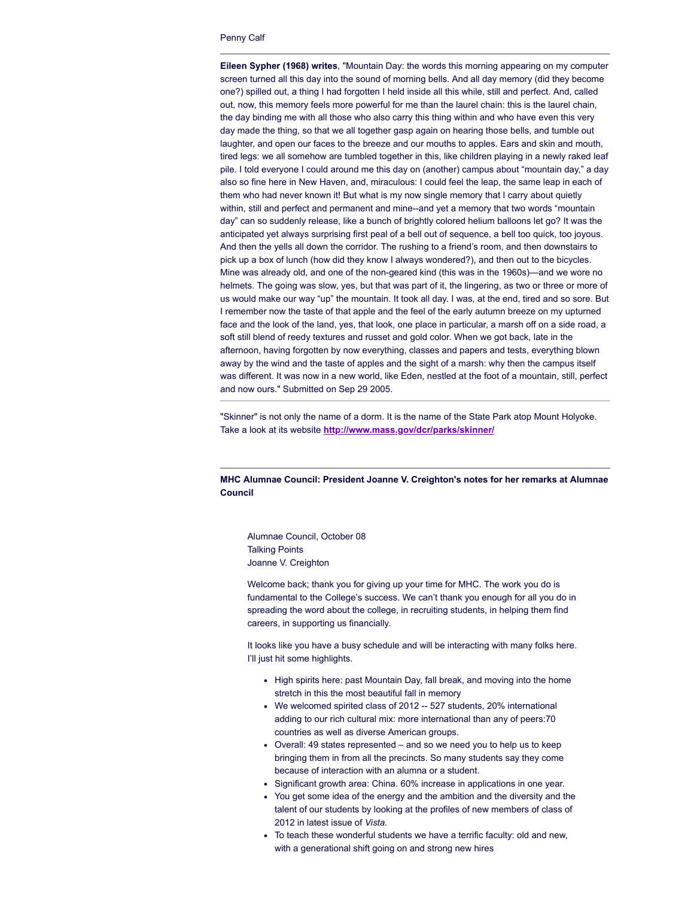#### Penny Calf

**Eileen Sypher (1968) writes**, "Mountain Day: the words this morning appearing on my computer screen turned all this day into the sound of morning bells. And all day memory (did they become one?) spilled out, a thing I had forgotten I held inside all this while, still and perfect. And, called out, now, this memory feels more powerful for me than the laurel chain: this is the laurel chain, the day binding me with all those who also carry this thing within and who have even this very day made the thing, so that we all together gasp again on hearing those bells, and tumble out laughter, and open our faces to the breeze and our mouths to apples. Ears and skin and mouth, tired legs: we all somehow are tumbled together in this, like children playing in a newly raked leaf pile. I told everyone I could around me this day on (another) campus about "mountain day," a day also so fine here in New Haven, and, miraculous: I could feel the leap, the same leap in each of them who had never known it! But what is my now single memory that I carry about quietly within, still and perfect and permanent and mine--and yet a memory that two words "mountain day" can so suddenly release, like a bunch of brightly colored helium balloons let go? It was the anticipated yet always surprising first peal of a bell out of sequence, a bell too quick, too joyous. And then the yells all down the corridor. The rushing to a friend's room, and then downstairs to pick up a box of lunch (how did they know I always wondered?), and then out to the bicycles. Mine was already old, and one of the non-geared kind (this was in the 1960s)—and we wore no helmets. The going was slow, yes, but that was part of it, the lingering, as two or three or more of us would make our way "up" the mountain. It took all day. I was, at the end, tired and so sore. But I remember now the taste of that apple and the feel of the early autumn breeze on my upturned face and the look of the land, yes, that look, one place in particular, a marsh off on a side road, a soft still blend of reedy textures and russet and gold color. When we got back, late in the afternoon, having forgotten by now everything, classes and papers and tests, everything blown away by the wind and the taste of apples and the sight of a marsh: why then the campus itself was different. It was now in a new world, like Eden, nestled at the foot of a mountain, still, perfect and now ours." Submitted on Sep 29 2005.

"Skinner" is not only the name of a dorm. It is the name of the State Park atop Mount Holyoke. Take a look at its website **<http://www.mass.gov/dcr/parks/skinner/>**

# **MHC Alumnae Council: President Joanne V. Creighton's notes for her remarks at Alumnae Council**

Alumnae Council, October 08 Talking Points Joanne V. Creighton

Welcome back; thank you for giving up your time for MHC. The work you do is fundamental to the College's success. We can't thank you enough for all you do in spreading the word about the college, in recruiting students, in helping them find careers, in supporting us financially.

It looks like you have a busy schedule and will be interacting with many folks here. I'll just hit some highlights.

- High spirits here: past Mountain Day, fall break, and moving into the home stretch in this the most beautiful fall in memory
- We welcomed spirited class of 2012 -- 527 students, 20% international adding to our rich cultural mix: more international than any of peers:70 countries as well as diverse American groups.
- Overall: 49 states represented and so we need you to help us to keep bringing them in from all the precincts. So many students say they come because of interaction with an alumna or a student.
- Significant growth area: China. 60% increase in applications in one year.
- You get some idea of the energy and the ambition and the diversity and the talent of our students by looking at the profiles of new members of class of 2012 in latest issue of *Vista.*
- To teach these wonderful students we have a terrific faculty: old and new, with a generational shift going on and strong new hires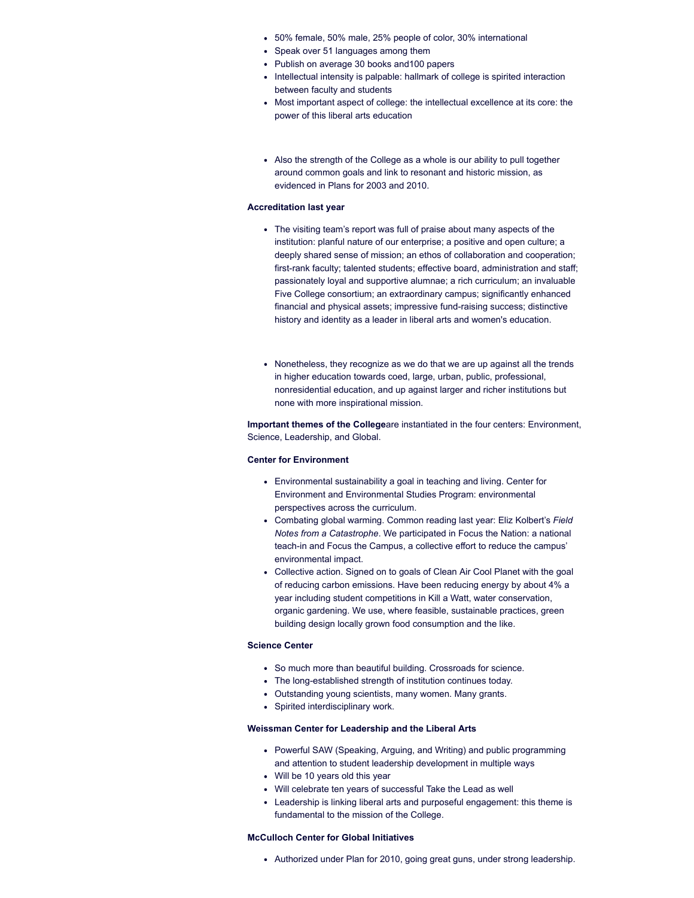- 50% female, 50% male, 25% people of color, 30% international
- Speak over 51 languages among them
- Publish on average 30 books and 100 papers
- Intellectual intensity is palpable: hallmark of college is spirited interaction between faculty and students
- Most important aspect of college: the intellectual excellence at its core: the power of this liberal arts education
- Also the strength of the College as a whole is our ability to pull together around common goals and link to resonant and historic mission, as evidenced in Plans for 2003 and 2010.

#### **Accreditation last year**

- The visiting team's report was full of praise about many aspects of the institution: planful nature of our enterprise; a positive and open culture; a deeply shared sense of mission; an ethos of collaboration and cooperation; first-rank faculty; talented students; effective board, administration and staff; passionately loyal and supportive alumnae; a rich curriculum; an invaluable Five College consortium; an extraordinary campus; significantly enhanced financial and physical assets; impressive fund-raising success; distinctive history and identity as a leader in liberal arts and women's education.
- Nonetheless, they recognize as we do that we are up against all the trends in higher education towards coed, large, urban, public, professional, nonresidential education, and up against larger and richer institutions but none with more inspirational mission.

**Important themes of the College**are instantiated in the four centers: Environment, Science, Leadership, and Global.

#### **Center for Environment**

- Environmental sustainability a goal in teaching and living. Center for Environment and Environmental Studies Program: environmental perspectives across the curriculum.
- Combating global warming. Common reading last year: Eliz Kolbert's *Field Notes from a Catastrophe*. We participated in Focus the Nation: a national teach-in and Focus the Campus, a collective effort to reduce the campus' environmental impact.
- Collective action. Signed on to goals of Clean Air Cool Planet with the goal of reducing carbon emissions. Have been reducing energy by about 4% a year including student competitions in Kill a Watt, water conservation, organic gardening. We use, where feasible, sustainable practices, green building design locally grown food consumption and the like.

#### **Science Center**

- So much more than beautiful building. Crossroads for science.
- The long-established strength of institution continues today.
- Outstanding young scientists, many women. Many grants.
- Spirited interdisciplinary work.

#### **Weissman Center for Leadership and the Liberal Arts**

- Powerful SAW (Speaking, Arguing, and Writing) and public programming and attention to student leadership development in multiple ways
- Will be 10 years old this year
- Will celebrate ten years of successful Take the Lead as well
- Leadership is linking liberal arts and purposeful engagement: this theme is fundamental to the mission of the College.

#### **McCulloch Center for Global Initiatives**

Authorized under Plan for 2010, going great guns, under strong leadership.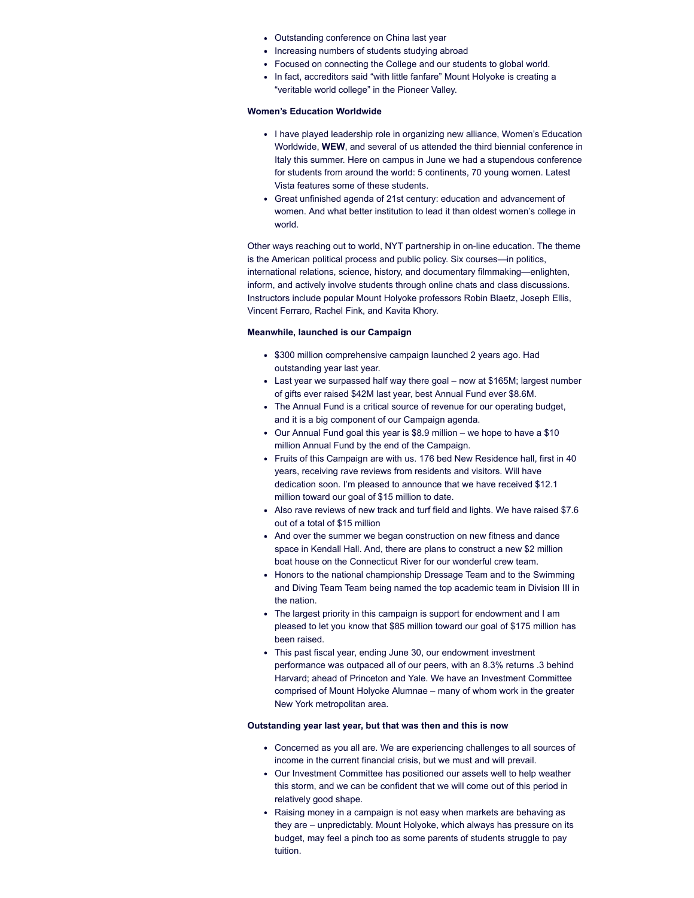- Outstanding conference on China last year
- Increasing numbers of students studying abroad
- Focused on connecting the College and our students to global world.
- In fact, accreditors said "with little fanfare" Mount Holyoke is creating a "veritable world college" in the Pioneer Valley.

## **Women's Education Worldwide**

- I have played leadership role in organizing new alliance, Women's Education Worldwide, **WEW**, and several of us attended the third biennial conference in Italy this summer. Here on campus in June we had a stupendous conference for students from around the world: 5 continents, 70 young women. Latest Vista features some of these students.
- Great unfinished agenda of 21st century: education and advancement of women. And what better institution to lead it than oldest women's college in world.

Other ways reaching out to world, NYT partnership in on-line education. The theme is the American political process and public policy. Six courses—in politics, international relations, science, history, and documentary filmmaking—enlighten, inform, and actively involve students through online chats and class discussions. Instructors include popular Mount Holyoke professors Robin Blaetz, Joseph Ellis, Vincent Ferraro, Rachel Fink, and Kavita Khory.

#### **Meanwhile, launched is our Campaign**

- \$300 million comprehensive campaign launched 2 years ago. Had outstanding year last year.
- Last year we surpassed half way there goal now at \$165M; largest number of gifts ever raised \$42M last year, best Annual Fund ever \$8.6M.
- The Annual Fund is a critical source of revenue for our operating budget, and it is a big component of our Campaign agenda.
- Our Annual Fund goal this year is \$8.9 million we hope to have a \$10 million Annual Fund by the end of the Campaign.
- Fruits of this Campaign are with us. 176 bed New Residence hall, first in 40 years, receiving rave reviews from residents and visitors. Will have dedication soon. I'm pleased to announce that we have received \$12.1 million toward our goal of \$15 million to date.
- Also rave reviews of new track and turf field and lights. We have raised \$7.6 out of a total of \$15 million
- And over the summer we began construction on new fitness and dance space in Kendall Hall. And, there are plans to construct a new \$2 million boat house on the Connecticut River for our wonderful crew team.
- Honors to the national championship Dressage Team and to the Swimming and Diving Team Team being named the top academic team in Division III in the nation.
- The largest priority in this campaign is support for endowment and I am pleased to let you know that \$85 million toward our goal of \$175 million has been raised.
- This past fiscal year, ending June 30, our endowment investment performance was outpaced all of our peers, with an 8.3% returns .3 behind Harvard; ahead of Princeton and Yale. We have an Investment Committee comprised of Mount Holyoke Alumnae – many of whom work in the greater New York metropolitan area.

#### **Outstanding year last year, but that was then and this is now**

- Concerned as you all are. We are experiencing challenges to all sources of income in the current financial crisis, but we must and will prevail.
- Our Investment Committee has positioned our assets well to help weather this storm, and we can be confident that we will come out of this period in relatively good shape.
- Raising money in a campaign is not easy when markets are behaving as they are – unpredictably. Mount Holyoke, which always has pressure on its budget, may feel a pinch too as some parents of students struggle to pay tuition.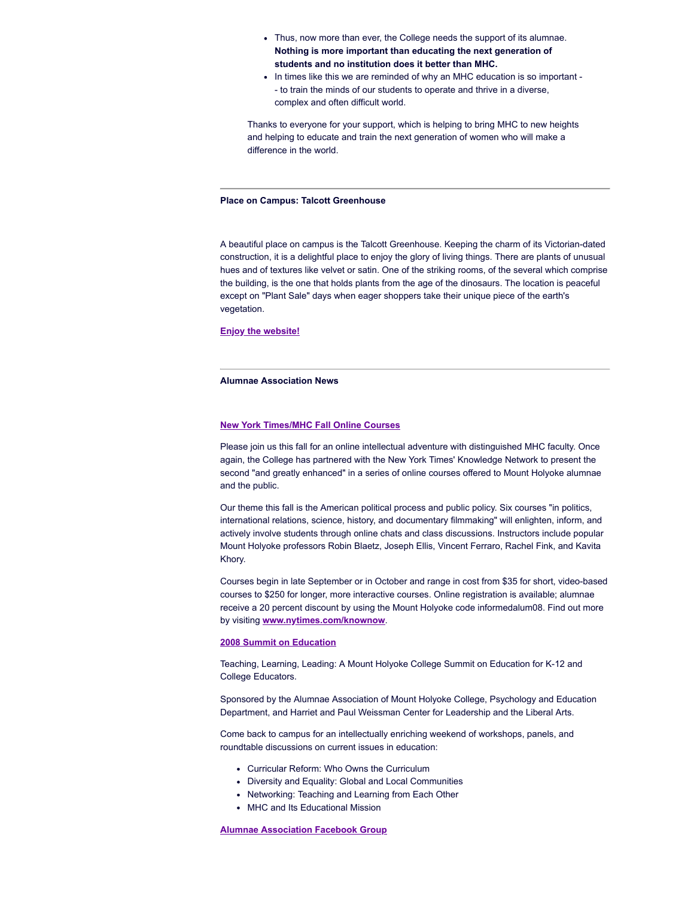- Thus, now more than ever, the College needs the support of its alumnae. **Nothing is more important than educating the next generation of students and no institution does it better than MHC.**
- In times like this we are reminded of why an MHC education is so important -- to train the minds of our students to operate and thrive in a diverse, complex and often difficult world.

Thanks to everyone for your support, which is helping to bring MHC to new heights and helping to educate and train the next generation of women who will make a difference in the world.

#### **Place on Campus: Talcott Greenhouse**

A beautiful place on campus is the Talcott Greenhouse. Keeping the charm of its Victorian-dated construction, it is a delightful place to enjoy the glory of living things. There are plants of unusual hues and of textures like velvet or satin. One of the striking rooms, of the several which comprise the building, is the one that holds plants from the age of the dinosaurs. The location is peaceful except on "Plant Sale" days when eager shoppers take their unique piece of the earth's vegetation.

#### **Enjoy the [website!](http://www.mtholyoke.edu/offices/botan/greenhouse)**

# **Alumnae Association News**

#### **New York [Times/MHC](http://alumnae.mtholyoke.edu/news/nyt2008olc.php) Fall Online Courses**

Please join us this fall for an online intellectual adventure with distinguished MHC faculty. Once again, the College has partnered with the New York Times' Knowledge Network to present the second "and greatly enhanced" in a series of online courses offered to Mount Holyoke alumnae and the public.

Our theme this fall is the American political process and public policy. Six courses "in politics, international relations, science, history, and documentary filmmaking" will enlighten, inform, and actively involve students through online chats and class discussions. Instructors include popular Mount Holyoke professors Robin Blaetz, Joseph Ellis, Vincent Ferraro, Rachel Fink, and Kavita Khory.

Courses begin in late September or in October and range in cost from \$35 for short, video-based courses to \$250 for longer, more interactive courses. Online registration is available; alumnae receive a 20 percent discount by using the Mount Holyoke code informedalum08. Find out more by visiting **[www.nytimes.com/knownow](http://www.nytimes.com/knownow)**.

#### **2008 Summit on [Education](http://alumnae.mtholyoke.edu/events/education08/index.php)**

Teaching, Learning, Leading: A Mount Holyoke College Summit on Education for K-12 and College Educators.

Sponsored by the Alumnae Association of Mount Holyoke College, Psychology and Education Department, and Harriet and Paul Weissman Center for Leadership and the Liberal Arts.

Come back to campus for an intellectually enriching weekend of workshops, panels, and roundtable discussions on current issues in education:

- Curricular Reform: Who Owns the Curriculum
- Diversity and Equality: Global and Local Communities
- Networking: Teaching and Learning from Each Other
- MHC and Its Educational Mission

## **Alumnae [Association](http://www.mhc1968.com/phpAds/adclick.php?bannerid=82&zoneid=1&source=&dest=http%3A%2F%2Fwww.facebook.com%2Fhome.php%23%2Fgroup.php%3Fgid%3D2210666085&ismap=) Facebook Group**